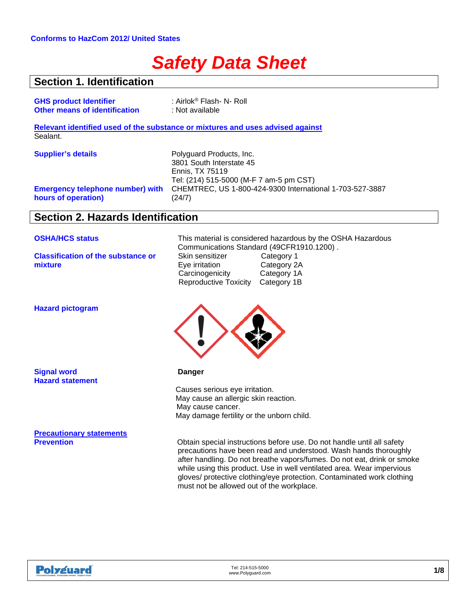# *Safety Data Sheet*

### **Section 1. Identification**

| <b>GHS product Identifier</b>                                  | : Airlok <sup>®</sup> Flash- N- Roll                                           |
|----------------------------------------------------------------|--------------------------------------------------------------------------------|
| <b>Other means of identification</b>                           | : Not available                                                                |
|                                                                | Relevant identified used of the substance or mixtures and uses advised against |
| Sealant.                                                       |                                                                                |
| <b>Supplier's details</b>                                      | Polyguard Products, Inc.                                                       |
|                                                                | 3801 South Interstate 45                                                       |
|                                                                | Ennis, TX 75119                                                                |
|                                                                | Tel: (214) 515-5000 (M-F 7 am-5 pm CST)                                        |
| <b>Emergency telephone number) with</b><br>hours of operation) | CHEMTREC, US 1-800-424-9300 International 1-703-527-3887<br>(24/7)             |

### **Section 2. Hazards Identification**

**Classification of the substance or mixture**

**OSHA/HCS status** This material is considered hazardous by the OSHA Hazardous Communications Standard (49CFR1910.1200).<br>Skin sensitizer Category 1 Skin sensitizer Category 1<br>
Eye irritation Category 2A Eye irritation Category 2A<br>Carcinogenicity Category 1A Carcinogenicity Reproductive Toxicity Category 1B



**Obtain special instructions before use. Do not handle until all safety** precautions have been read and understood. Wash hands thoroughly after handling. Do not breathe vapors/fumes. Do not eat, drink or smoke while using this product. Use in well ventilated area. Wear impervious gloves/ protective clothing/eye protection. Contaminated work clothing must not be allowed out of the workplace.

| Innovation | ned.<br>NW <sub>1</sub> | <b>Expect more:</b> |
|------------|-------------------------|---------------------|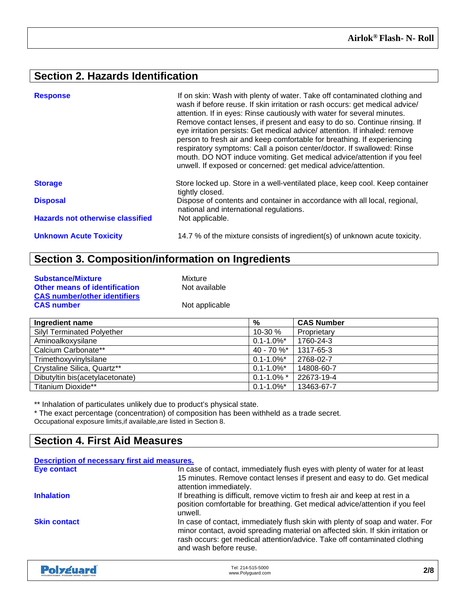## **Section 2. Hazards Identification**

| <b>Response</b>                         | If on skin: Wash with plenty of water. Take off contaminated clothing and<br>wash if before reuse. If skin irritation or rash occurs: get medical advice/<br>attention. If in eyes: Rinse cautiously with water for several minutes.<br>Remove contact lenses, if present and easy to do so. Continue rinsing. If<br>eye irritation persists: Get medical advice/ attention. If inhaled: remove<br>person to fresh air and keep comfortable for breathing. If experiencing<br>respiratory symptoms: Call a poison center/doctor. If swallowed: Rinse<br>mouth. DO NOT induce vomiting. Get medical advice/attention if you feel<br>unwell. If exposed or concerned: get medical advice/attention. |
|-----------------------------------------|---------------------------------------------------------------------------------------------------------------------------------------------------------------------------------------------------------------------------------------------------------------------------------------------------------------------------------------------------------------------------------------------------------------------------------------------------------------------------------------------------------------------------------------------------------------------------------------------------------------------------------------------------------------------------------------------------|
| <b>Storage</b>                          | Store locked up. Store in a well-ventilated place, keep cool. Keep container<br>tightly closed.                                                                                                                                                                                                                                                                                                                                                                                                                                                                                                                                                                                                   |
| <b>Disposal</b>                         | Dispose of contents and container in accordance with all local, regional,<br>national and international regulations.                                                                                                                                                                                                                                                                                                                                                                                                                                                                                                                                                                              |
| <b>Hazards not otherwise classified</b> | Not applicable.                                                                                                                                                                                                                                                                                                                                                                                                                                                                                                                                                                                                                                                                                   |
| <b>Unknown Acute Toxicity</b>           | 14.7 % of the mixture consists of ingredient(s) of unknown acute toxicity.                                                                                                                                                                                                                                                                                                                                                                                                                                                                                                                                                                                                                        |

## **Section 3. Composition/information on Ingredients**

| <b>Substance/Mixture</b>             | Mixture        |
|--------------------------------------|----------------|
| <b>Other means of identification</b> | Not available  |
| <b>CAS number/other identifiers</b>  |                |
| <b>CAS number</b>                    | Not applicable |

| Ingredient name                   | %               | <b>CAS Number</b> |
|-----------------------------------|-----------------|-------------------|
| <b>Silyl Terminated Polyether</b> | 10-30 %         | Proprietary       |
| Aminoalkoxysilane                 | $0.1 - 1.0\%$ * | 1760-24-3         |
| Calcium Carbonate**               | $40 - 70 \%$    | 1317-65-3         |
| Trimethoxyvinylsilane             | $0.1 - 1.0\%$ * | 2768-02-7         |
| Crystaline Silica, Quartz**       | $0.1 - 1.0\%$ * | 14808-60-7        |
| Dibutyltin bis(acetylacetonate)   | $0.1 - 1.0\%$ * | 22673-19-4        |
| Titanium Dioxide**                | $0.1 - 1.0\%$ * | 13463-67-7        |

\*\* Inhalation of particulates unlikely due to product's physical state.

\* The exact percentage (concentration) of composition has been withheld as a trade secret. Occupational exposure limits,if available,are listed in Section 8.

### **Section 4. First Aid Measures**

| Description of necessary first aid measures. |                                                                                                                                                                                                                                                                         |
|----------------------------------------------|-------------------------------------------------------------------------------------------------------------------------------------------------------------------------------------------------------------------------------------------------------------------------|
| <b>Eye contact</b>                           | In case of contact, immediately flush eyes with plenty of water for at least<br>15 minutes. Remove contact lenses if present and easy to do. Get medical<br>attention immediately.                                                                                      |
| <b>Inhalation</b>                            | If breathing is difficult, remove victim to fresh air and keep at rest in a<br>position comfortable for breathing. Get medical advice/attention if you feel<br>unwell.                                                                                                  |
| <b>Skin contact</b>                          | In case of contact, immediately flush skin with plenty of soap and water. For<br>minor contact, avoid spreading material on affected skin. If skin irritation or<br>rash occurs: get medical attention/advice. Take off contaminated clothing<br>and wash before reuse. |
|                                              |                                                                                                                                                                                                                                                                         |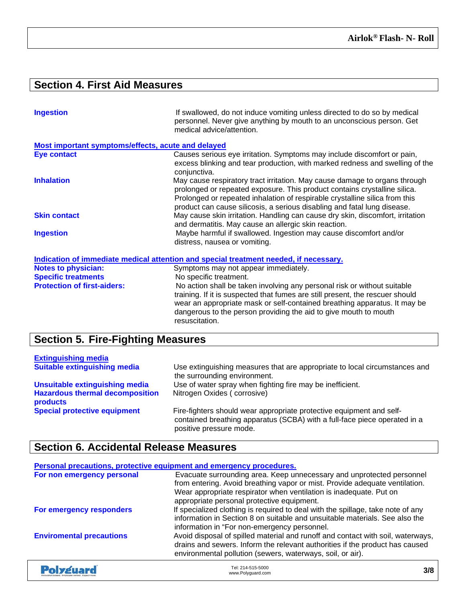## **Section 4. First Aid Measures**

| <b>Ingestion</b>                                   | If swallowed, do not induce vomiting unless directed to do so by medical<br>personnel. Never give anything by mouth to an unconscious person. Get<br>medical advice/attention.                                                                                                                                     |
|----------------------------------------------------|--------------------------------------------------------------------------------------------------------------------------------------------------------------------------------------------------------------------------------------------------------------------------------------------------------------------|
| Most important symptoms/effects, acute and delayed |                                                                                                                                                                                                                                                                                                                    |
| Eye contact                                        | Causes serious eye irritation. Symptoms may include discomfort or pain,<br>excess blinking and tear production, with marked redness and swelling of the<br>conjunctiva.                                                                                                                                            |
| <b>Inhalation</b>                                  | May cause respiratory tract irritation. May cause damage to organs through<br>prolonged or repeated exposure. This product contains crystalline silica.<br>Prolonged or repeated inhalation of respirable crystalline silica from this<br>product can cause silicosis, a serious disabling and fatal lung disease. |
| <b>Skin contact</b>                                | May cause skin irritation. Handling can cause dry skin, discomfort, irritation<br>and dermatitis. May cause an allergic skin reaction.                                                                                                                                                                             |
| <b>Ingestion</b>                                   | Maybe harmful if swallowed. Ingestion may cause discomfort and/or<br>distress, nausea or vomiting.                                                                                                                                                                                                                 |
|                                                    | Indication of immediate medical attention and special treatment needed, if necessary.                                                                                                                                                                                                                              |
| <b>Notes to physician:</b>                         | Symptoms may not appear immediately.                                                                                                                                                                                                                                                                               |
| <b>Specific treatments</b>                         | No specific treatment.                                                                                                                                                                                                                                                                                             |
| <b>Protection of first-aiders:</b>                 | No action shall be taken involving any personal risk or without suitable<br>training. If it is suspected that fumes are still present, the rescuer should<br>wear an appropriate mask or self-contained breathing apparatus. It may be<br>dangerous to the person providing the aid to give mouth to mouth         |

## **Section 5. Fire-Fighting Measures**

| <b>Extinguishing media</b>                         |                                                                                                                                                                              |
|----------------------------------------------------|------------------------------------------------------------------------------------------------------------------------------------------------------------------------------|
| <b>Suitable extinguishing media</b>                | Use extinguishing measures that are appropriate to local circumstances and<br>the surrounding environment.                                                                   |
| <b>Unsuitable extinguishing media</b>              | Use of water spray when fighting fire may be inefficient.                                                                                                                    |
| <b>Hazardous thermal decomposition</b><br>products | Nitrogen Oxides (corrosive)                                                                                                                                                  |
| <b>Special protective equipment</b>                | Fire-fighters should wear appropriate protective equipment and self-<br>contained breathing apparatus (SCBA) with a full-face piece operated in a<br>positive pressure mode. |

resuscitation.

### **Section 6. Accidental Release Measures**

| Personal precautions, protective equipment and emergency procedures. |                                                                                                                                                                                                                                                                          |     |
|----------------------------------------------------------------------|--------------------------------------------------------------------------------------------------------------------------------------------------------------------------------------------------------------------------------------------------------------------------|-----|
| For non emergency personal                                           | Evacuate surrounding area. Keep unnecessary and unprotected personnel<br>from entering. Avoid breathing vapor or mist. Provide adequate ventilation.<br>Wear appropriate respirator when ventilation is inadequate. Put on<br>appropriate personal protective equipment. |     |
| For emergency responders                                             | If specialized clothing is required to deal with the spillage, take note of any<br>information in Section 8 on suitable and unsuitable materials. See also the<br>information in "For non-emergency personnel.                                                           |     |
| <b>Enviromental precautions</b>                                      | Avoid disposal of spilled material and runoff and contact with soil, waterways,<br>drains and sewers. Inform the relevant authorities if the product has caused<br>environmental pollution (sewers, waterways, soil, or air).                                            |     |
| Polysuard                                                            | Tel: 214-515-5000<br>www.Polyguard.com                                                                                                                                                                                                                                   | 3/8 |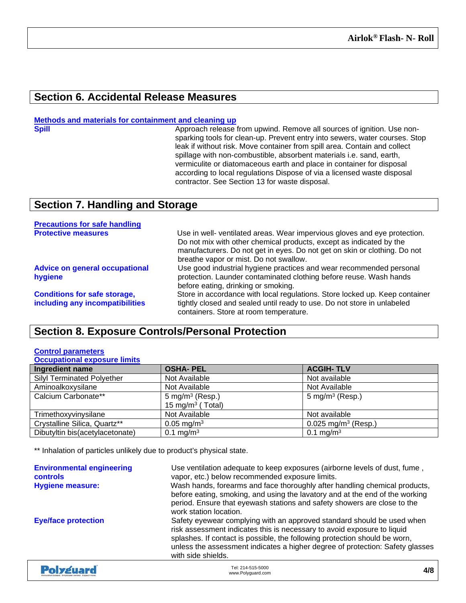### **Section 6. Accidental Release Measures**

### **Methods and materials for containment and cleaning up**

**Spill Approach release from upwind. Remove all sources of ignition. Use non**sparking tools for clean-up. Prevent entry into sewers, water courses. Stop leak if without risk. Move container from spill area. Contain and collect spillage with non-combustible, absorbent materials i.e. sand, earth, vermiculite or diatomaceous earth and place in container for disposal according to local regulations Dispose of via a licensed waste disposal contractor. See Section 13 for waste disposal.

### **Section 7. Handling and Storage**

| <b>Precautions for safe handling</b>                                   |                                                                                                                                                                                                                                                                         |
|------------------------------------------------------------------------|-------------------------------------------------------------------------------------------------------------------------------------------------------------------------------------------------------------------------------------------------------------------------|
| <b>Protective measures</b>                                             | Use in well- ventilated areas. Wear impervious gloves and eye protection.<br>Do not mix with other chemical products, except as indicated by the<br>manufacturers. Do not get in eyes. Do not get on skin or clothing. Do not<br>breathe vapor or mist. Do not swallow. |
| <b>Advice on general occupational</b><br>hygiene                       | Use good industrial hygiene practices and wear recommended personal<br>protection. Launder contaminated clothing before reuse. Wash hands<br>before eating, drinking or smoking.                                                                                        |
| <b>Conditions for safe storage,</b><br>including any incompatibilities | Store in accordance with local regulations. Store locked up. Keep container<br>tightly closed and sealed until ready to use. Do not store in unlabeled<br>containers. Store at room temperature.                                                                        |

### **Section 8. Exposure Controls/Personal Protection**

#### **Control parameters Occupational exposure limits**

| Ingredient name                   | <b>OSHA-PEL</b>              | <b>ACGIH-TLV</b>                |
|-----------------------------------|------------------------------|---------------------------------|
| <b>Silyl Terminated Polyether</b> | Not Available                | Not available                   |
| Aminoalkoxysilane                 | Not Available                | Not Available                   |
| Calcium Carbonate**               | 5 mg/m <sup>3</sup> (Resp.)  | 5 mg/m <sup>3</sup> (Resp.)     |
|                                   | 15 mg/m <sup>3</sup> (Total) |                                 |
| Trimethoxyvinysilane              | Not Available                | Not available                   |
| Crystalline Silica, Quartz**      | $0.05 \,\mathrm{mg/m^3}$     | 0.025 mg/m <sup>3</sup> (Resp.) |
| Dibutyltin bis(acetylacetonate)   | 0.1 mg/m <sup>3</sup>        | 0.1 mg/m <sup>3</sup>           |

\*\* Inhalation of particles unlikely due to product's physical state.

| <b>Environmental engineering</b><br><b>controls</b><br><b>Hygiene measure:</b> | Use ventilation adequate to keep exposures (airborne levels of dust, fume,<br>vapor, etc.) below recommended exposure limits.<br>Wash hands, forearms and face thoroughly after handling chemical products,<br>before eating, smoking, and using the lavatory and at the end of the working<br>period. Ensure that eyewash stations and safety showers are close to the<br>work station location. |
|--------------------------------------------------------------------------------|---------------------------------------------------------------------------------------------------------------------------------------------------------------------------------------------------------------------------------------------------------------------------------------------------------------------------------------------------------------------------------------------------|
| <b>Eye/face protection</b>                                                     | Safety eyewear complying with an approved standard should be used when<br>risk assessment indicates this is necessary to avoid exposure to liquid<br>splashes. If contact is possible, the following protection should be worn,<br>unless the assessment indicates a higher degree of protection: Safety glasses<br>with side shields.                                                            |
|                                                                                |                                                                                                                                                                                                                                                                                                                                                                                                   |

| <b>Polyguard</b><br>Innovation based. Employee owned. Expect more. | Tel: 214-515-5000<br>www.Polyguard.com | 4/8 |
|--------------------------------------------------------------------|----------------------------------------|-----|
|--------------------------------------------------------------------|----------------------------------------|-----|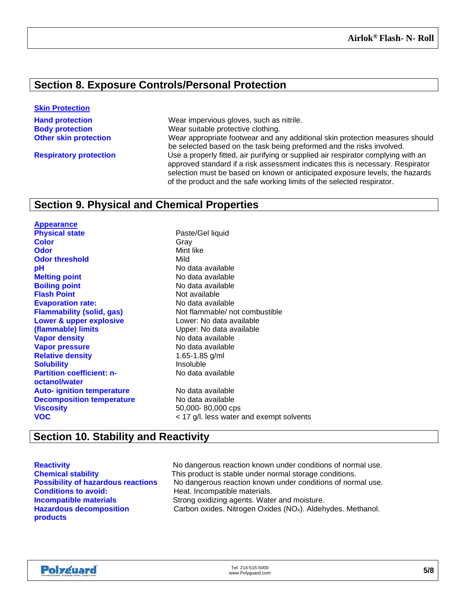### **Section 8. Exposure Controls/Personal Protection**

#### **Skin Protection**

**Hand protection** Wear impervious gloves, such as nitrile. **Body protection**<br> **Other skin protection**<br>
Wear appropriate footwear and a Wear appropriate footwear and any additional skin protection measures should be selected based on the task being preformed and the risks involved. **Respiratory protection** Use a properly fitted, air purifying or supplied air respirator complying with an approved standard if a risk assessment indicates this is necessary. Respirator selection must be based on known or anticipated exposure levels, the hazards of the product and the safe working limits of the selected respirator.

### **Section 9. Physical and Chemical Properties**

**Appearance Physical state Physical state Paste/Gel liquid Color** Gray **Odor** Mint like **Odor threshold** Mild **pH**<br> **pH** No data available<br> **Melting point**<br> **Melting point Boiling point**<br> **Boiling point**<br> **Elash Point**<br> **Not available Flash Point**<br> **Evaporation rate:**<br> **Evaporation rate:**<br> **No data available Evaporation rate: Lower & upper explosive (flammable) limits Vapor density**<br> **Vapor pressure**<br> **Vapor pressure Vapor pressure** No data availal<br> **Relative density**<br> **Relative density**<br> **Relative density Relative density Solubility Insoluble Partition coefficient: noctanol/water Auto- ignition temperature** No data available **Decomposition temperature** No data available **Viscosity** 50,000-80,000 cps **VOC** < 17 g/l. less water and exempt solvents

**Melting point** No data available **Flammability (solid, gas)** Not flammable/ not combustible Lower: No data available Upper: No data available No data available

### **Section 10. Stability and Reactivity**

**Hazardous decomposition products**

**Reactivity Reactivity** No dangerous reaction known under conditions of normal use.<br> **Chemical stability** This product is stable under normal storage conditions. This product is stable under normal storage conditions. **Possibility of hazardous reactions** No dangerous reaction known under conditions of normal use.<br> **Conditions to avoid:** Formation of Heat. Incompatible materials. Heat. Incompatible materials. **Incompatible materials Strong oxidizing agents. Water and moisture.** Carbon oxides. Nitrogen Oxides (NOx). Aldehydes. Methanol.

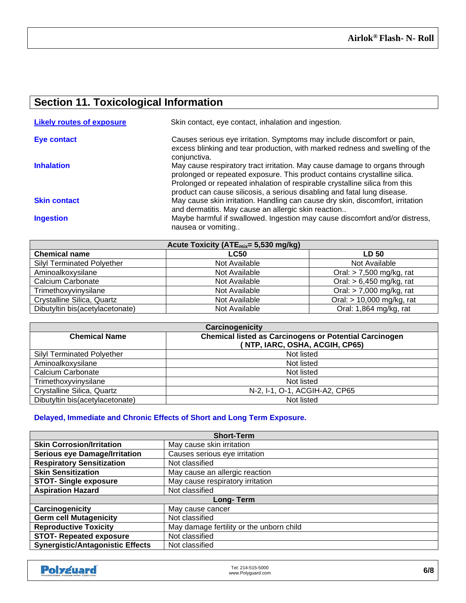## **Section 11. Toxicological Information**

| <b>Likely routes of exposure</b> | Skin contact, eye contact, inhalation and ingestion.                                                                                                                                                                                                                                                               |
|----------------------------------|--------------------------------------------------------------------------------------------------------------------------------------------------------------------------------------------------------------------------------------------------------------------------------------------------------------------|
| Eye contact                      | Causes serious eye irritation. Symptoms may include discomfort or pain,<br>excess blinking and tear production, with marked redness and swelling of the<br>conjunctiva.                                                                                                                                            |
| <b>Inhalation</b>                | May cause respiratory tract irritation. May cause damage to organs through<br>prolonged or repeated exposure. This product contains crystalline silica.<br>Prolonged or repeated inhalation of respirable crystalline silica from this<br>product can cause silicosis, a serious disabling and fatal lung disease. |
| <b>Skin contact</b>              | May cause skin irritation. Handling can cause dry skin, discomfort, irritation<br>and dermatitis. May cause an allergic skin reaction                                                                                                                                                                              |
| <b>Ingestion</b>                 | Maybe harmful if swallowed. Ingestion may cause discomfort and/or distress,<br>nausea or vomiting                                                                                                                                                                                                                  |

| Acute Toxicity (ATE <sub>mix</sub> = 5,530 mg/kg) |               |                            |
|---------------------------------------------------|---------------|----------------------------|
| <b>Chemical name</b>                              | <b>LC50</b>   | <b>LD 50</b>               |
| <b>Silyl Terminated Polyether</b>                 | Not Available | Not Available              |
| Aminoalkoxysilane                                 | Not Available | Oral: $> 7,500$ mg/kg, rat |
| Calcium Carbonate                                 | Not Available | Oral: $> 6,450$ mg/kg, rat |
| Trimethoxyvinysilane                              | Not Available | Oral: $> 7,000$ mg/kg, rat |
| Crystalline Silica, Quartz                        | Not Available | Oral: > 10,000 mg/kg, rat  |
| Dibutyltin bis(acetylacetonate)                   | Not Available | Oral: 1,864 mg/kg, rat     |

| Carcinogenicity                                                                       |                                |  |
|---------------------------------------------------------------------------------------|--------------------------------|--|
| <b>Chemical listed as Carcinogens or Potential Carcinogen</b><br><b>Chemical Name</b> |                                |  |
|                                                                                       | (NTP, IARC, OSHA, ACGIH, CP65) |  |
| <b>Silyl Terminated Polyether</b>                                                     | Not listed                     |  |
| Aminoalkoxysilane                                                                     | Not listed                     |  |
| Calcium Carbonate                                                                     | Not listed                     |  |
| Trimethoxyvinysilane                                                                  | Not listed                     |  |
| Crystalline Silica, Quartz                                                            | N-2, I-1, O-1, ACGIH-A2, CP65  |  |
| Dibutyltin bis(acetylacetonate)                                                       | Not listed                     |  |

### **Delayed, Immediate and Chronic Effects of Short and Long Term Exposure.**

| <b>Short-Term</b>                       |                                          |  |
|-----------------------------------------|------------------------------------------|--|
| <b>Skin Corrosion/Irritation</b>        | May cause skin irritation                |  |
| <b>Serious eye Damage/Irritation</b>    | Causes serious eye irritation            |  |
| <b>Respiratory Sensitization</b>        | Not classified                           |  |
| <b>Skin Sensitization</b>               | May cause an allergic reaction           |  |
| <b>STOT-Single exposure</b>             | May cause respiratory irritation         |  |
| <b>Aspiration Hazard</b>                | Not classified                           |  |
| Long-Term                               |                                          |  |
| Carcinogenicity                         | May cause cancer                         |  |
| <b>Germ cell Mutagenicity</b>           | Not classified                           |  |
| <b>Reproductive Toxicity</b>            | May damage fertility or the unborn child |  |
| <b>STOT- Repeated exposure</b>          | Not classified                           |  |
| <b>Synergistic/Antagonistic Effects</b> | Not classified                           |  |

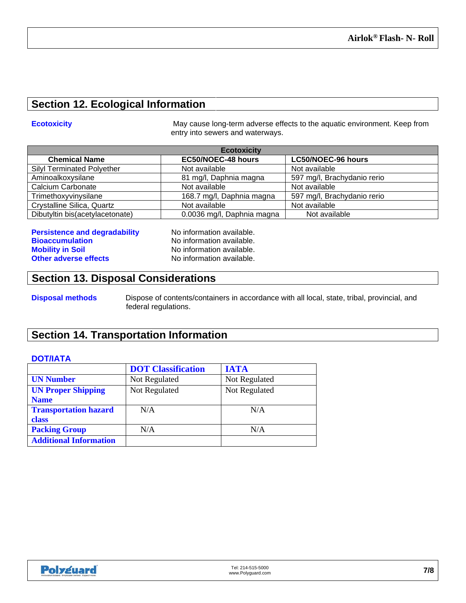### **Section 12. Ecological Information**

**Ecotoxicity Example 20 Interval 20 Increment May cause long-term adverse effects to the aquatic environment. Keep from** entry into sewers and waterways.

| <b>Ecotoxicity</b>                |                            |                             |
|-----------------------------------|----------------------------|-----------------------------|
| <b>Chemical Name</b>              | EC50/NOEC-48 hours         | <b>LC50/NOEC-96 hours</b>   |
| <b>Silyl Terminated Polyether</b> | Not available              | Not available               |
| Aminoalkoxysilane                 | 81 mg/l, Daphnia magna     | 597 mg/l, Brachydanio rerio |
| <b>Calcium Carbonate</b>          | Not available              | Not available               |
| Trimethoxyvinysilane              | 168.7 mg/l, Daphnia magna  | 597 mg/l, Brachydanio rerio |
| Crystalline Silica, Quartz        | Not available              | Not available               |
| Dibutyltin bis(acetylacetonate)   | 0.0036 mg/l, Daphnia magna | Not available               |

| <b>Persistence and degradability</b> |  |
|--------------------------------------|--|
| <b>Bioaccumulation</b>               |  |
| <b>Mobility in Soil</b>              |  |
| <b>Other adverse effects</b>         |  |

**Performation available. No information available.** No information available. **No information available.** 

### **Section 13. Disposal Considerations**

**Disposal methods** Dispose of contents/containers in accordance with all local, state, tribal, provincial, and federal regulations.

### **Section 14. Transportation Information**

### **DOT/IATA**

|                               | <b>DOT</b> Classification | <b>IATA</b>   |
|-------------------------------|---------------------------|---------------|
| <b>UN Number</b>              | Not Regulated             | Not Regulated |
| <b>UN Proper Shipping</b>     | Not Regulated             | Not Regulated |
| <b>Name</b>                   |                           |               |
| <b>Transportation hazard</b>  | N/A                       | N/A           |
| class                         |                           |               |
| <b>Packing Group</b>          | N/A                       | N/A           |
| <b>Additional Information</b> |                           |               |